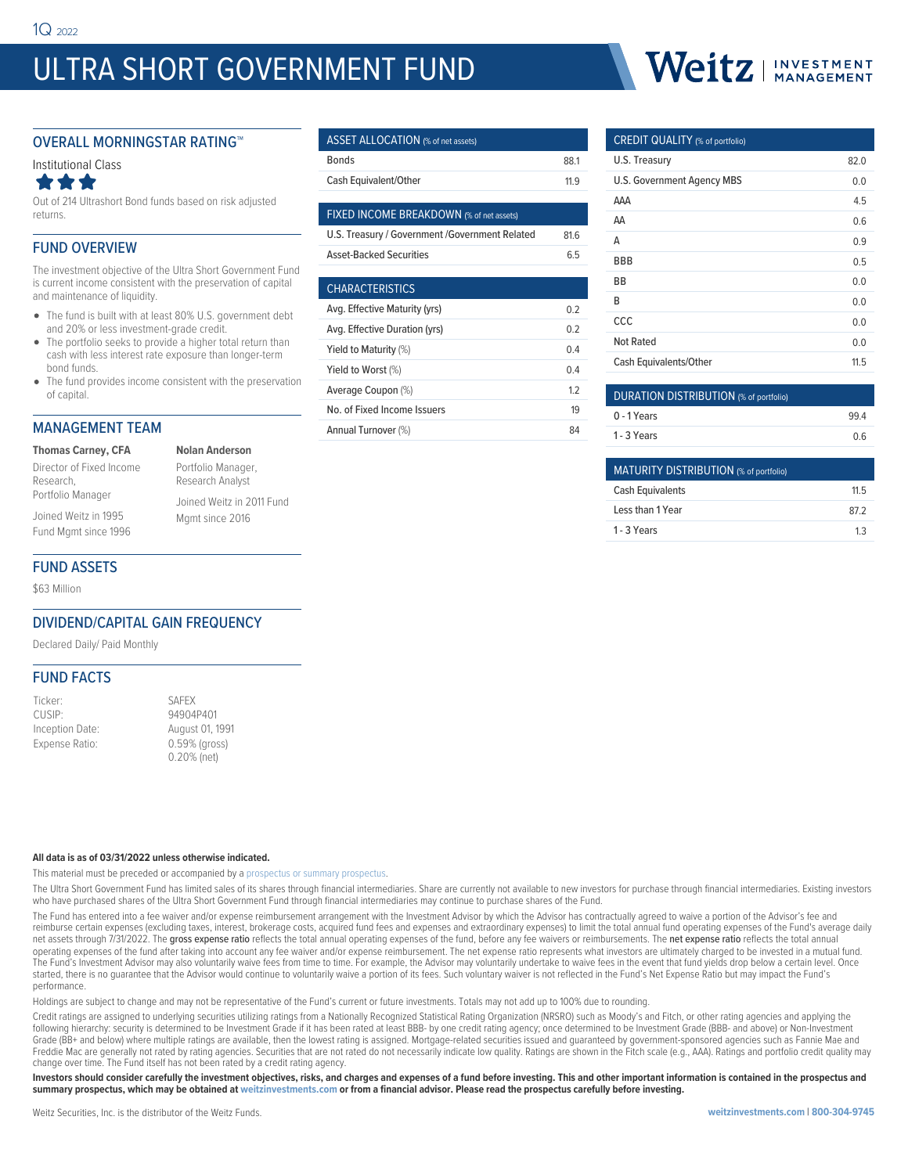# ULTRA SHORT GOVERNMENT FUND

# Weitz | INVESTMENT

#### OVERALL MORNINGSTAR RATING™



Out of 214 Ultrashort Bond funds based on risk adjusted returns.

#### FUND OVERVIEW

The investment objective of the Ultra Short Government Fund is current income consistent with the preservation of capital and maintenance of liquidity.

- The fund is built with at least 80% U.S. government debt and 20% or less investment-grade credit.
- The portfolio seeks to provide a higher total return than cash with less interest rate exposure than longer-term bond funds.
- The fund provides income consistent with the preservation of capital.

### MANAGEMENT TEAM

**Thomas Carney, CFA** Director of Fixed Income Research, Portfolio Manager

**Nolan Anderson** Portfolio Manager, Research Analyst Joined Weitz in 2011 Fund Mgmt since 2016

## FUND ASSETS

Joined Weitz in 1995 Fund Mgmt since 1996

\$63 Million

#### DIVIDEND/CAPITAL GAIN FREQUENCY

Declared Daily/ Paid Monthly

#### FUND FACTS

| Ticker:         |  |
|-----------------|--|
| CUSIP:          |  |
| Inception Date: |  |
| Expense Ratio:  |  |

SAFFX 94904P401 August 01, 1991 0.59% (gross) 0.20% (net)

#### **All data is as of 03/31/2022 unless otherwise indicated.**

This material must be preceded or accompanied by a [prospectus or summary prospectus](https://weitzinvestments.com/resources/product-literature/default.fs).

The Ultra Short Government Fund has limited sales of its shares through financial intermediaries. Share are currently not available to new investors for purchase through financial intermediaries. Existing investors who have purchased shares of the Ultra Short Government Fund through financial intermediaries may continue to purchase shares of the Fund.

The Fund has entered into a fee waiver and/or expense reimbursement arrangement with the Investment Advisor by which the Advisor has contractually agreed to waive a portion of the Advisor's fee and reimburse certain expenses (excluding taxes, interest, brokerage costs, acquired fund fees and expenses and extraordinary expenses) to limit the total annual fund operating expenses of the Fund's average daily net assets through 7/31/2022. The gross expense ratio reflects the total annual operating expenses of the fund, before any fee waivers or reimbursements. The net expense ratio reflects the total annual operating expenses of the fund after taking into account any fee waiver and/or expense reimbursement. The net expense ratio represents what investors are ultimately charged to be invested in a mutual fund. The Fund's Investment Advisor may also voluntarily waive fees from time to time. For example, the Advisor may voluntarily undertake to waive fees in the event that fund yields drop below a certain level. Once started, there is no guarantee that the Advisor would continue to voluntarily waive a portion of its fees. Such voluntary waiver is not reflected in the Fund's Net Expense Ratio but may impact the Fund's performance.

Holdings are subject to change and may not be representative of the Fund's current or future investments. Totals may not add up to 100% due to rounding.

Credit ratings are assigned to underlying securities utilizing ratings from a Nationally Recognized Statistical Rating Organization (NRSRO) such as Moody's and Fitch, or other rating agencies and applying the following hierarchy: security is determined to be Investment Grade if it has been rated at least BBB- by one credit rating agency; once determined to be Investment Grade (BBB- and above) or Non-Investment Grade (BB+ and below) where multiple ratings are available, then the lowest rating is assigned. Mortgage-related securities issued and guaranteed by government-sponsored agencies such as Fannie Mae and Freddie Mac are generally not rated by rating agencies. Securities that are not rated do not necessarily indicate low quality. Ratings are shown in the Fitch scale (e.g., AAA). Ratings and portfolio credit quality may change over time. The Fund itself has not been rated by a credit rating agency.

**Investors should consider carefully the investment objectives, risks, and charges and expenses of a fund before investing. This and other important information is contained in the prospectus and summary prospectus, which may be obtained at weitzinvestments.com or from a financial advisor. Please read the prospectus carefully before investing.**

### ASSET ALLOCATION (% of net assets) Bonds 88.1 Cash Equivalent/Other 11.9

| <b>FIXED INCOME BREAKDOWN</b> (% of net assets) |     |
|-------------------------------------------------|-----|
| U.S. Treasury / Government / Government Related | 816 |
| <b>Asset-Backed Securities</b>                  | 65  |
|                                                 |     |
| <b>CHARACTERISTICS</b>                          |     |
| Avg. Effective Maturity (yrs)                   | 02  |
| Avg. Effective Duration (yrs)                   | 02  |
| Yield to Maturity (%)                           | 0.4 |

Yield to Worst (%) 8.4 Average Coupon (%) and the contract of the 1.2 No. of Fixed Income Issuers 19 Annual Turnover (%) 84

| C                          |      |
|----------------------------|------|
| U.S. Treasury              | 82.0 |
| U.S. Government Agency MBS | 0.0  |
| AAA                        | 4.5  |
| AA                         | 0.6  |
| Α                          | 0.9  |
| BBB                        | 0.5  |
| ВB                         | 0.0  |
| В                          | 0.0  |
| CCC                        | 0.0  |
| <b>Not Rated</b>           | 0.0  |
| Cash Equivalents/Other     | 11.5 |

 $C$ PEDIT QUALITY  $\omega_{\alpha}$ 

| DURATION DISTRIBUTION (% of portfolio) |     |
|----------------------------------------|-----|
| 0 - 1 Years                            | 994 |
| 1 - 3 Years                            | 06  |

| MATURITY DISTRIBUTION (% of portfolio) |     |
|----------------------------------------|-----|
| <b>Cash Equivalents</b>                | 115 |
| Less than 1 Year                       | 872 |
| 1 - 3 Years                            | 13  |